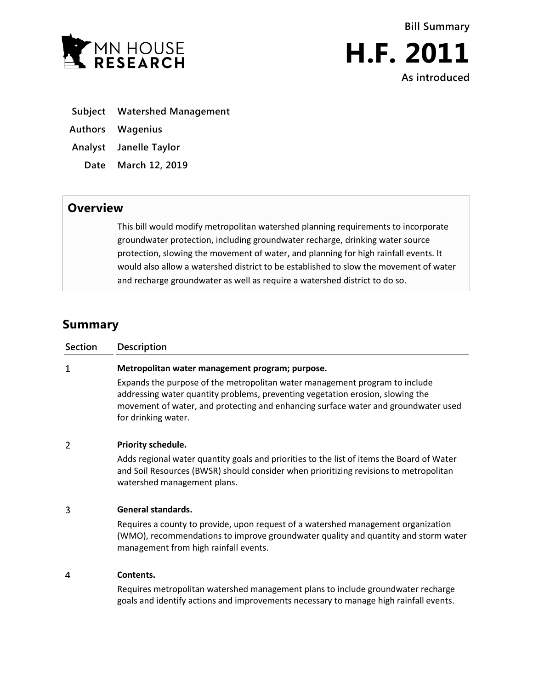



- **Subject Watershed Management**
- **Authors Wagenius**
- **Analyst Janelle Taylor**
	- **Date March 12, 2019**

## **Overview**

This bill would modify metropolitan watershed planning requirements to incorporate groundwater protection, including groundwater recharge, drinking water source protection, slowing the movement of water, and planning for high rainfall events. It would also allow a watershed district to be established to slow the movement of water and recharge groundwater as well as require a watershed district to do so.

# **Summary**

| Section | Description                                                                                                                                                                                                                                                                |
|---------|----------------------------------------------------------------------------------------------------------------------------------------------------------------------------------------------------------------------------------------------------------------------------|
| 1       | Metropolitan water management program; purpose.                                                                                                                                                                                                                            |
|         | Expands the purpose of the metropolitan water management program to include<br>addressing water quantity problems, preventing vegetation erosion, slowing the<br>movement of water, and protecting and enhancing surface water and groundwater used<br>for drinking water. |
| 2       | Priority schedule.                                                                                                                                                                                                                                                         |
|         | Adds regional water quantity goals and priorities to the list of items the Board of Water<br>and Soil Resources (BWSR) should consider when prioritizing revisions to metropolitan<br>watershed management plans.                                                          |
| 3       | <b>General standards.</b>                                                                                                                                                                                                                                                  |
|         | Requires a county to provide, upon request of a watershed management organization<br>(WMO), recommendations to improve groundwater quality and quantity and storm water<br>management from high rainfall events.                                                           |
| 4       | Contents.                                                                                                                                                                                                                                                                  |
|         | Requires metropolitan watershed management plans to include groundwater recharge<br>goals and identify actions and improvements necessary to manage high rainfall events.                                                                                                  |